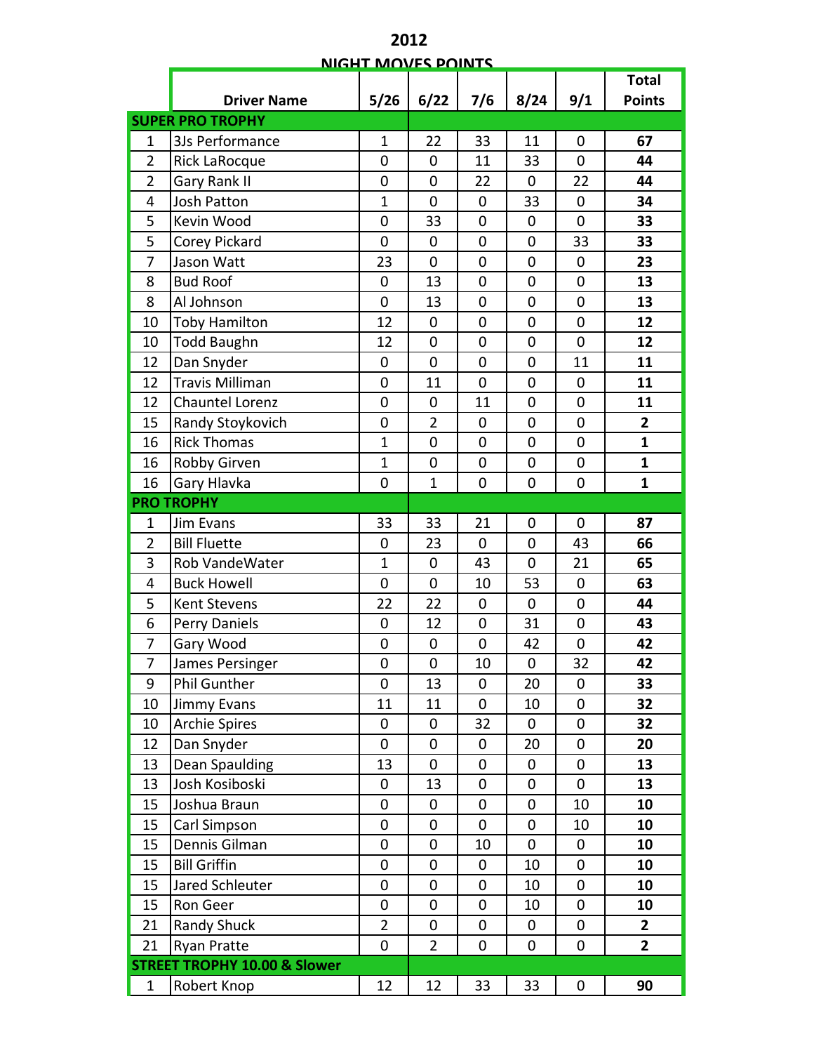| <b>NIGHT MOVES POINTS</b> |                                         |                |                |                |                |                  |                         |  |  |  |
|---------------------------|-----------------------------------------|----------------|----------------|----------------|----------------|------------------|-------------------------|--|--|--|
|                           |                                         |                |                |                |                |                  | <b>Total</b>            |  |  |  |
|                           | <b>Driver Name</b>                      | 5/26           | 6/22           | 7/6            | 8/24           | 9/1              | <b>Points</b>           |  |  |  |
|                           | <b>SUPER PRO TROPHY</b>                 |                |                |                |                |                  |                         |  |  |  |
| $\mathbf 1$               | 3Js Performance                         | $\mathbf{1}$   | 22             | 33             | 11             | $\mathbf 0$      | 67                      |  |  |  |
| $\overline{2}$            | Rick LaRocque                           | $\mathbf 0$    | 0              | 11             | 33             | $\overline{0}$   | 44                      |  |  |  |
| $\overline{2}$            | Gary Rank II                            | $\mathbf 0$    | 0              | 22             | 0              | 22               | 44                      |  |  |  |
| 4                         | Josh Patton                             | $\mathbf{1}$   | 0              | 0              | 33             | 0                | 34                      |  |  |  |
| 5                         | Kevin Wood                              | $\mathbf 0$    | 33             | 0              | $\mathbf 0$    | $\overline{0}$   | 33                      |  |  |  |
| 5                         | Corey Pickard                           | $\mathbf 0$    | 0              | 0              | 0              | 33               | 33                      |  |  |  |
| 7                         | Jason Watt                              | 23             | 0              | $\mathbf 0$    | $\mathbf 0$    | $\mathbf 0$      | 23                      |  |  |  |
| 8                         | <b>Bud Roof</b>                         | 0              | 13             | 0              | 0              | $\mathbf 0$      | 13                      |  |  |  |
| 8                         | Al Johnson                              | $\mathbf 0$    | 13             | $\mathbf 0$    | $\mathbf 0$    | $\overline{0}$   | 13                      |  |  |  |
| 10                        | <b>Toby Hamilton</b>                    | 12             | 0              | 0              | $\mathbf 0$    | $\mathbf 0$      | 12                      |  |  |  |
| 10                        | <b>Todd Baughn</b>                      | 12             | $\mathbf 0$    | 0              | $\mathbf 0$    | 0                | 12                      |  |  |  |
| 12                        | Dan Snyder                              | $\mathbf 0$    | $\overline{0}$ | $\mathbf 0$    | $\mathbf 0$    | 11               | 11                      |  |  |  |
| 12                        | Travis Milliman                         | $\mathbf 0$    | 11             | $\overline{0}$ | $\mathbf 0$    | 0                | 11                      |  |  |  |
| 12                        | <b>Chauntel Lorenz</b>                  | $\mathbf 0$    | 0              | 11             | $\mathbf 0$    | 0                | 11                      |  |  |  |
| 15                        | Randy Stoykovich                        | $\mathbf 0$    | $\overline{2}$ | 0              | $\mathbf 0$    | 0                | $\overline{\mathbf{2}}$ |  |  |  |
| 16                        | <b>Rick Thomas</b>                      | $\overline{1}$ | 0              | 0              | $\mathbf 0$    | 0                | $\mathbf{1}$            |  |  |  |
| 16                        | Robby Girven                            | $\overline{1}$ | 0              | $\mathbf 0$    | $\mathbf 0$    | $\mathbf 0$      | $\mathbf{1}$            |  |  |  |
| 16                        | Gary Hlavka                             | $\mathbf 0$    | $\mathbf{1}$   | $\mathbf 0$    | $\mathbf 0$    | $\boldsymbol{0}$ | $\mathbf{1}$            |  |  |  |
|                           | <b>PRO TROPHY</b>                       |                |                |                |                |                  |                         |  |  |  |
| $\mathbf{1}$              | Jim Evans                               | 33             | 33             | 21             | $\mathbf 0$    | 0                | 87                      |  |  |  |
| $\overline{2}$            | <b>Bill Fluette</b>                     | 0              | 23             | 0              | 0              | 43               | 66                      |  |  |  |
| 3                         | Rob VandeWater                          | $\mathbf{1}$   | 0              | 43             | 0              | 21               | 65                      |  |  |  |
| 4                         | <b>Buck Howell</b>                      | $\mathbf 0$    | $\mathbf 0$    | 10             | 53             | $\pmb{0}$        | 63                      |  |  |  |
| 5                         | Kent Stevens                            | 22             | 22             | $\mathbf 0$    | $\mathbf 0$    | $\mathbf 0$      | 44                      |  |  |  |
| 6                         | Perry Daniels                           | $\mathbf 0$    | 12             | 0              | 31             | 0                | 43                      |  |  |  |
| 7                         | Gary Wood                               | $\mathbf 0$    | 0              | $\mathbf 0$    | 42             | $\mathbf 0$      | 42                      |  |  |  |
| 7                         | James Persinger                         | $\mathbf 0$    | 0              | 10             | $\mathbf 0$    | 32               | 42                      |  |  |  |
| 9                         | <b>Phil Gunther</b>                     | $\mathbf 0$    | 13             | 0              | 20             | 0                | 33                      |  |  |  |
| 10                        | Jimmy Evans                             | 11             | 11             | 0              | 10             | 0                | 32                      |  |  |  |
| 10                        | <b>Archie Spires</b>                    | $\mathbf 0$    | 0              | 32             | 0              | 0                | 32                      |  |  |  |
| 12                        | Dan Snyder                              | $\mathbf 0$    | 0              | 0              | 20             | 0                | 20                      |  |  |  |
| 13                        | <b>Dean Spaulding</b>                   | 13             | 0              | 0              | 0              | 0                | 13                      |  |  |  |
| 13                        | Josh Kosiboski                          | 0              | 13             | 0              | 0              | $\mathbf 0$      | 13                      |  |  |  |
| 15                        | Joshua Braun                            | $\mathbf 0$    | 0              | 0              | $\mathbf 0$    | 10               | 10                      |  |  |  |
| 15                        | Carl Simpson                            | $\mathbf 0$    | 0              | 0              | 0              | 10               | 10                      |  |  |  |
| 15                        | Dennis Gilman                           | $\mathbf 0$    | $\overline{0}$ | 10             | $\overline{0}$ | $\mathbf 0$      | 10                      |  |  |  |
| 15                        | <b>Bill Griffin</b>                     | $\mathbf 0$    | 0              | 0              | 10             | 0                | 10                      |  |  |  |
| 15                        | Jared Schleuter                         | $\mathbf 0$    | $\mathbf 0$    | 0              | 10             | 0                | 10                      |  |  |  |
| 15                        | Ron Geer                                | 0              | 0              | 0              | 10             | 0                | 10                      |  |  |  |
| 21                        | <b>Randy Shuck</b>                      | $\overline{2}$ | 0              | 0              | 0              | 0                | $\overline{2}$          |  |  |  |
| 21                        | <b>Ryan Pratte</b>                      | $\mathbf 0$    | $\overline{2}$ | 0              | 0              | 0                | $\overline{2}$          |  |  |  |
|                           | <b>STREET TROPHY 10.00 &amp; Slower</b> |                |                |                |                |                  |                         |  |  |  |
| $\mathbf{1}$              | Robert Knop                             | 12             | 12             | 33             | 33             | 0                | 90                      |  |  |  |